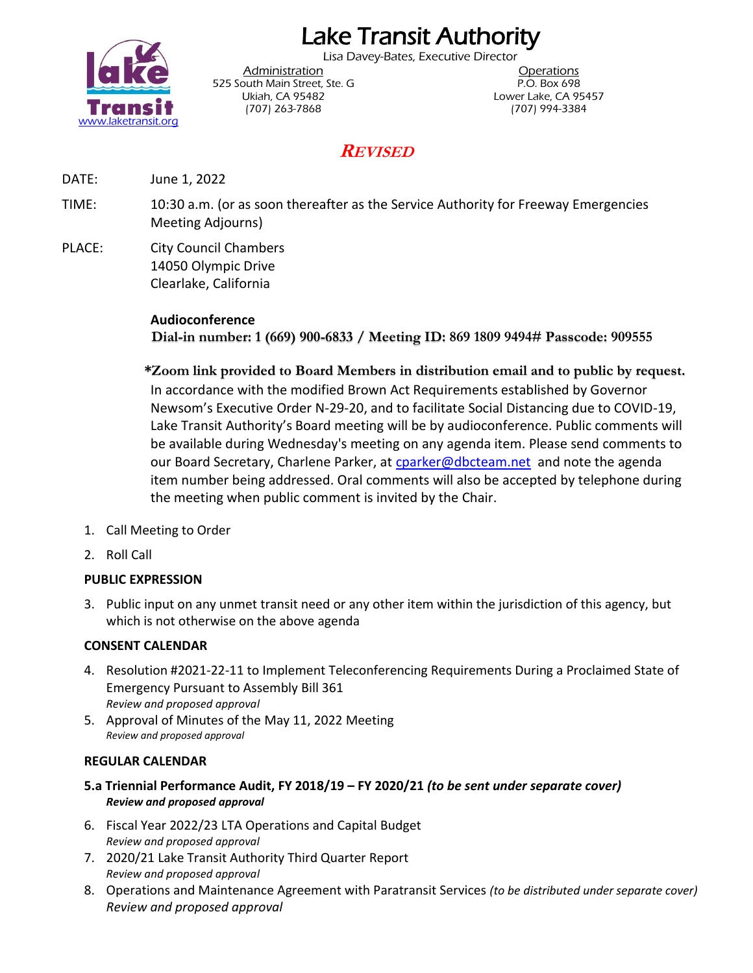# Lake Transit Authority

Lisa Davey-Bates, Executive Director



Administration **Administration** 525 South Main Street, Ste. G P.O. Box 698 (707) 263-7868 (707) 994-3384

Ukiah, CA 95482 Lower Lake, CA 95457

# **REVISED**

DATE: June 1, 2022

TIME: 10:30 a.m. (or as soon thereafter as the Service Authority for Freeway Emergencies Meeting Adjourns)

PLACE: City Council Chambers 14050 Olympic Drive Clearlake, California

## **Audioconference**

**Dial-in number: 1 (669) 900-6833 / Meeting ID: 869 1809 9494# Passcode: 909555**

**\*Zoom link provided to Board Members in distribution email and to public by request.** In accordance with the modified Brown Act Requirements established by Governor Newsom's Executive Order N-29-20, and to facilitate Social Distancing due to COVID-19, Lake Transit Authority's Board meeting will be by audioconference. Public comments will be available during Wednesday's meeting on any agenda item. Please send comments to our Board Secretary, Charlene Parker, at [cparker@dbcteam.net](mailto:cparker@dbcteam.net) and note the agenda item number being addressed. Oral comments will also be accepted by telephone during the meeting when public comment is invited by the Chair.

- 1. Call Meeting to Order
- 2. Roll Call

### **PUBLIC EXPRESSION**

3. Public input on any unmet transit need or any other item within the jurisdiction of this agency, but which is not otherwise on the above agenda

# **CONSENT CALENDAR**

- 4. Resolution #2021-22-11 to Implement Teleconferencing Requirements During a Proclaimed State of Emergency Pursuant to Assembly Bill 361 *Review and proposed approval*
- 5. Approval of Minutes of the May 11, 2022 Meeting *Review and proposed approval*

# **REGULAR CALENDAR**

- **5.a Triennial Performance Audit, FY 2018/19 – FY 2020/21** *(to be sent under separate cover) Review and proposed approval*
- 6. Fiscal Year 2022/23 LTA Operations and Capital Budget *Review and proposed approval*
- 7. 2020/21 Lake Transit Authority Third Quarter Report *Review and proposed approval*
- 8. Operations and Maintenance Agreement with Paratransit Services *(to be distributed under separate cover) Review and proposed approval*